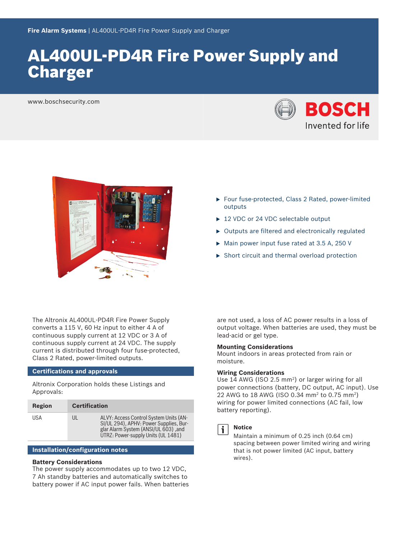## AL400UL‑PD4R Fire Power Supply and **Charger**

www.boschsecurity.com





- ▶ Four fuse-protected, Class 2 Rated, power-limited outputs
- $\blacktriangleright$  12 VDC or 24 VDC selectable output
- $\triangleright$  Outputs are filtered and electronically regulated
- $\triangleright$  Main power input fuse rated at 3.5 A, 250 V
- $\triangleright$  Short circuit and thermal overload protection

The Altronix AL400UL‑PD4R Fire Power Supply converts a 115 V, 60 Hz input to either 4 A of continuous supply current at 12 VDC or 3 A of continuous supply current at 24 VDC. The supply current is distributed through four fuse-protected, Class 2 Rated, power‑limited outputs.

#### **Certifications and approvals**

Altronix Corporation holds these Listings and Approvals:

| Region | <b>Certification</b> |                                                                                                                                                                |
|--------|----------------------|----------------------------------------------------------------------------------------------------------------------------------------------------------------|
| USA    | UL                   | ALVY: Access Control System Units (AN-<br>SI/UL 294), APHV: Power Supplies, Bur-<br>glar Alarm System (ANSI/UL 603), and<br>UTRZ: Power-supply Units (UL 1481) |

#### **Installation/configuration notes**

#### **Battery Considerations**

The power supply accommodates up to two 12 VDC, 7 Ah standby batteries and automatically switches to battery power if AC input power fails. When batteries are not used, a loss of AC power results in a loss of output voltage. When batteries are used, they must be lead‑acid or gel type.

#### **Mounting Considerations**

Mount indoors in areas protected from rain or moisture.

#### **Wiring Considerations**

Use 14 AWG (ISO 2.5 mm<sup>2</sup>) or larger wiring for all power connections (battery, DC output, AC input). Use 22 AWG to 18 AWG (ISO 0.34 mm<sup>2</sup> to 0.75 mm<sup>2</sup>) wiring for power limited connections (AC fail, low battery reporting).



### **Notice**

Maintain a minimum of 0.25 inch (0.64 cm) spacing between power limited wiring and wiring that is not power limited (AC input, battery wires).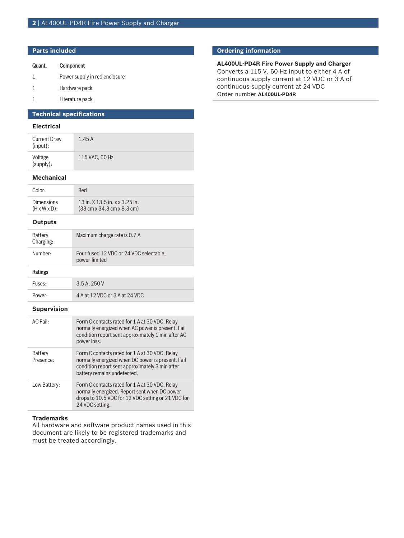#### **Parts included**

| Quant. | Component |
|--------|-----------|
|--------|-----------|

- 1 Power supply in red enclosure
- 1 Hardware pack
- 1 Literature pack

## **Technical specifications**

### **Electrical**

| <b>Current Draw</b><br>(input): | 1.45A          |
|---------------------------------|----------------|
| Voltage<br>(supply):            | 115 VAC, 60 Hz |

#### **Mechanical**

| Color:                    | Red                                                            |
|---------------------------|----------------------------------------------------------------|
| <b>Dimensions</b>         | 13 in. X 13.5 in. x x 3.25 in.                                 |
| $(H \times W \times D)$ : | $(33 \text{ cm} \times 34.3 \text{ cm} \times 8.3 \text{ cm})$ |

#### **Outputs**

| Battery<br>Charging: | Maximum charge rate is 0.7 A                             |
|----------------------|----------------------------------------------------------|
| Number:              | Four fused 12 VDC or 24 VDC selectable,<br>power-limited |
| Ratings              |                                                          |
| Fuses:               | 3.5 A. 250 V                                             |

# Power: 4 A at 12 VDC or 3 A at 24 VDC

#### **Supervision**

| AC Fail:             | Form C contacts rated for 1 A at 30 VDC. Relay<br>normally energized when AC power is present. Fail<br>condition report sent approximately 1 min after AC<br>power loss.              |
|----------------------|---------------------------------------------------------------------------------------------------------------------------------------------------------------------------------------|
| Battery<br>Presence: | Form C contacts rated for 1 A at 30 VDC. Relay<br>normally energized when DC power is present. Fail<br>condition report sent approximately 3 min after<br>battery remains undetected. |
| Low Battery:         | Form C contacts rated for 1 A at 30 VDC. Relay<br>normally energized. Report sent when DC power<br>drops to 10.5 VDC for 12 VDC setting or 21 VDC for<br>24 VDC setting.              |

#### **Trademarks**

All hardware and software product names used in this document are likely to be registered trademarks and must be treated accordingly.

## **Ordering information**

**AL400UL‑PD4R Fire Power Supply and Charger** Converts a 115 V, 60 Hz input to either 4 A of continuous supply current at 12 VDC or 3 A of continuous supply current at 24 VDC Order number **AL400UL-PD4R**